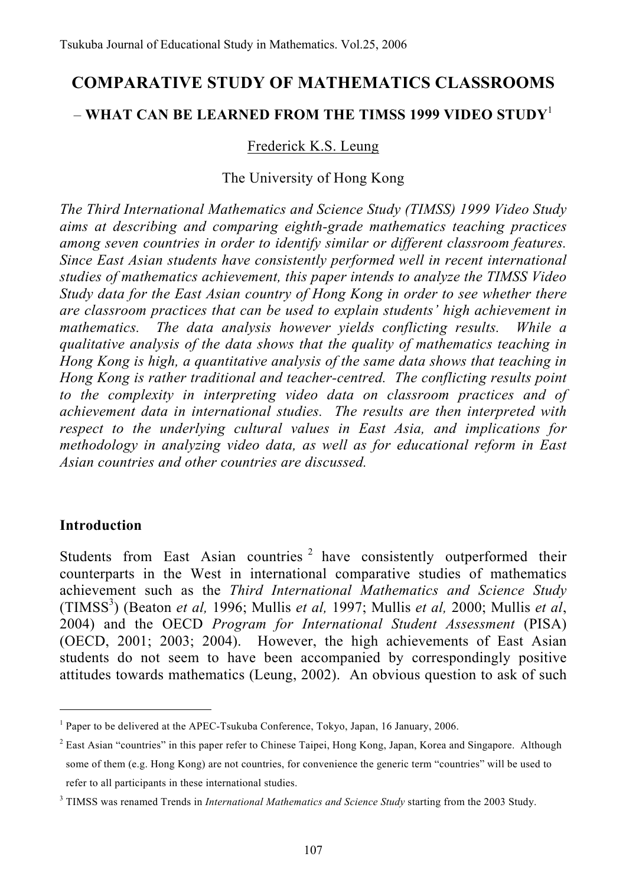# **COMPARATIVE STUDY OF MATHEMATICS CLASSROOMS**  – **WHAT CAN BE LEARNED FROM THE TIMSS 1999 VIDEO STUDY**<sup>1</sup>

# Frederick K.S. Leung

# The University of Hong Kong

*The Third International Mathematics and Science Study (TIMSS) 1999 Video Study aims at describing and comparing eighth-grade mathematics teaching practices among seven countries in order to identify similar or different classroom features. Since East Asian students have consistently performed well in recent international studies of mathematics achievement, this paper intends to analyze the TIMSS Video Study data for the East Asian country of Hong Kong in order to see whether there are classroom practices that can be used to explain students' high achievement in mathematics. The data analysis however yields conflicting results. While a qualitative analysis of the data shows that the quality of mathematics teaching in Hong Kong is high, a quantitative analysis of the same data shows that teaching in Hong Kong is rather traditional and teacher-centred. The conflicting results point to the complexity in interpreting video data on classroom practices and of achievement data in international studies. The results are then interpreted with respect to the underlying cultural values in East Asia, and implications for methodology in analyzing video data, as well as for educational reform in East Asian countries and other countries are discussed.* 

# **Introduction**

 $\overline{a}$ 

Students from East Asian countries<sup>2</sup> have consistently outperformed their counterparts in the West in international comparative studies of mathematics achievement such as the *Third International Mathematics and Science Study* (TIMSS<sup>3</sup>) (Beaton *et al,* 1996; Mullis *et al,* 1997; Mullis *et al,* 2000; Mullis *et al,* 2004) and the OECD *Program for International Student Assessment* (PISA) (OECD, 2001; 2003; 2004). However, the high achievements of East Asian students do not seem to have been accompanied by correspondingly positive attitudes towards mathematics (Leung, 2002). An obvious question to ask of such

<sup>&</sup>lt;sup>1</sup> Paper to be delivered at the APEC-Tsukuba Conference, Tokyo, Japan, 16 January, 2006.

 $2^2$  East Asian "countries" in this paper refer to Chinese Taipei, Hong Kong, Japan, Korea and Singapore. Although some of them (e.g. Hong Kong) are not countries, for convenience the generic term "countries" will be used to refer to all participants in these international studies.

<sup>3</sup> TIMSS was renamed Trends in *International Mathematics and Science Study* starting from the 2003 Study.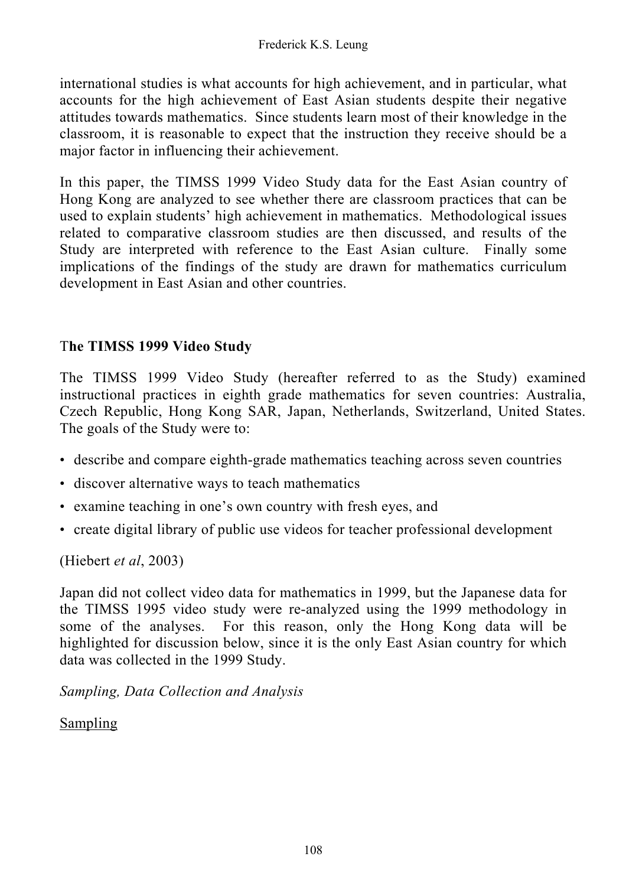international studies is what accounts for high achievement, and in particular, what accounts for the high achievement of East Asian students despite their negative attitudes towards mathematics. Since students learn most of their knowledge in the classroom, it is reasonable to expect that the instruction they receive should be a major factor in influencing their achievement.

In this paper, the TIMSS 1999 Video Study data for the East Asian country of Hong Kong are analyzed to see whether there are classroom practices that can be used to explain students' high achievement in mathematics. Methodological issues related to comparative classroom studies are then discussed, and results of the Study are interpreted with reference to the East Asian culture. Finally some implications of the findings of the study are drawn for mathematics curriculum development in East Asian and other countries.

# T**he TIMSS 1999 Video Study**

The TIMSS 1999 Video Study (hereafter referred to as the Study) examined instructional practices in eighth grade mathematics for seven countries: Australia, Czech Republic, Hong Kong SAR, Japan, Netherlands, Switzerland, United States. The goals of the Study were to:

- describe and compare eighth-grade mathematics teaching across seven countries
- discover alternative ways to teach mathematics
- examine teaching in one's own country with fresh eyes, and
- create digital library of public use videos for teacher professional development

(Hiebert *et al*, 2003)

Japan did not collect video data for mathematics in 1999, but the Japanese data for the TIMSS 1995 video study were re-analyzed using the 1999 methodology in some of the analyses. For this reason, only the Hong Kong data will be highlighted for discussion below, since it is the only East Asian country for which data was collected in the 1999 Study.

*Sampling, Data Collection and Analysis* 

# Sampling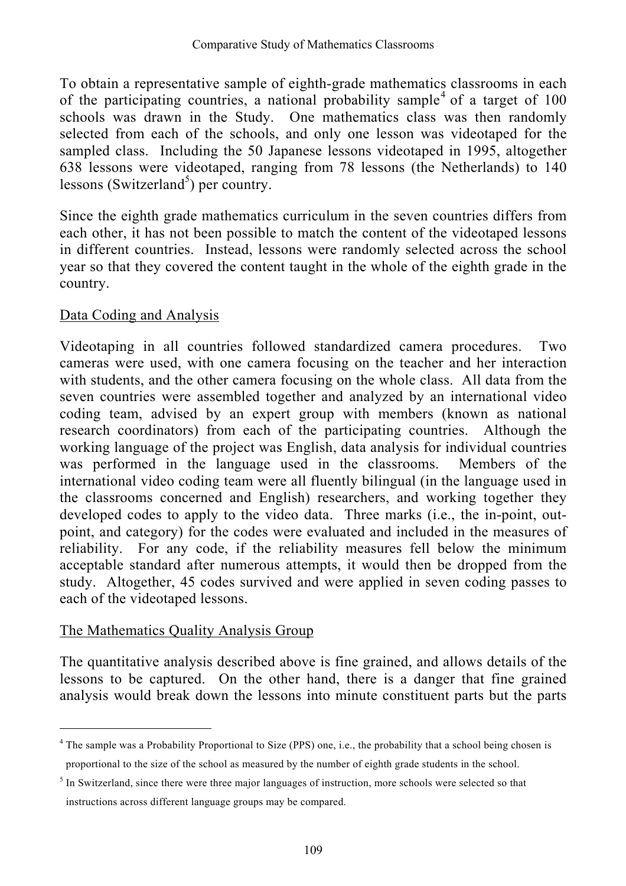To obtain a representative sample of eighth-grade mathematics classrooms in each of the participating countries, a national probability sample<sup>4</sup> of a target of  $100$ schools was drawn in the Study. One mathematics class was then randomly selected from each of the schools, and only one lesson was videotaped for the sampled class. Including the 50 Japanese lessons videotaped in 1995, altogether 638 lessons were videotaped, ranging from 78 lessons (the Netherlands) to 140 lessons (Switzerland<sup>5</sup>) per country.

Since the eighth grade mathematics curriculum in the seven countries differs from each other, it has not been possible to match the content of the videotaped lessons in different countries. Instead, lessons were randomly selected across the school year so that they covered the content taught in the whole of the eighth grade in the country.

#### Data Coding and Analysis

Videotaping in all countries followed standardized camera procedures. Two cameras were used, with one camera focusing on the teacher and her interaction with students, and the other camera focusing on the whole class. All data from the seven countries were assembled together and analyzed by an international video coding team, advised by an expert group with members (known as national research coordinators) from each of the participating countries. Although the working language of the project was English, data analysis for individual countries was performed in the language used in the classrooms. Members of the international video coding team were all fluently bilingual (in the language used in the classrooms concerned and English) researchers, and working together they developed codes to apply to the video data. Three marks (i.e., the in-point, outpoint, and category) for the codes were evaluated and included in the measures of reliability. For any code, if the reliability measures fell below the minimum acceptable standard after numerous attempts, it would then be dropped from the study. Altogether, 45 codes survived and were applied in seven coding passes to each of the videotaped lessons.

# The Mathematics Quality Analysis Group

 $\overline{a}$ 

The quantitative analysis described above is fine grained, and allows details of the lessons to be captured. On the other hand, there is a danger that fine grained analysis would break down the lessons into minute constituent parts but the parts

<sup>&</sup>lt;sup>4</sup> The sample was a Probability Proportional to Size (PPS) one, i.e., the probability that a school being chosen is proportional to the size of the school as measured by the number of eighth grade students in the school.

 $<sup>5</sup>$  In Switzerland, since there were three major languages of instruction, more schools were selected so that</sup> instructions across different language groups may be compared.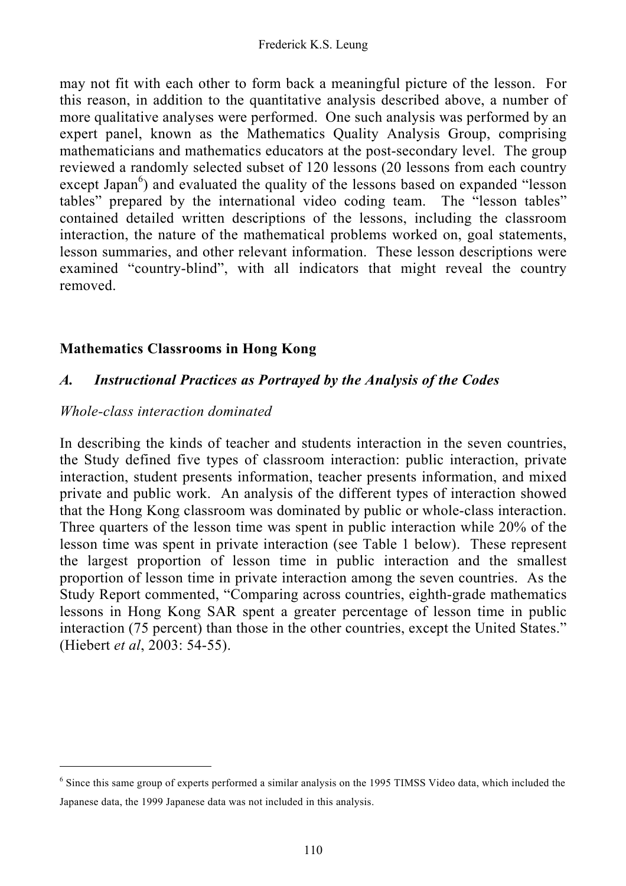may not fit with each other to form back a meaningful picture of the lesson. For this reason, in addition to the quantitative analysis described above, a number of more qualitative analyses were performed. One such analysis was performed by an expert panel, known as the Mathematics Quality Analysis Group, comprising mathematicians and mathematics educators at the post-secondary level. The group reviewed a randomly selected subset of 120 lessons (20 lessons from each country except Japan<sup>6</sup>) and evaluated the quality of the lessons based on expanded "lesson tables" prepared by the international video coding team. The "lesson tables" contained detailed written descriptions of the lessons, including the classroom interaction, the nature of the mathematical problems worked on, goal statements, lesson summaries, and other relevant information. These lesson descriptions were examined "country-blind", with all indicators that might reveal the country removed.

# **Mathematics Classrooms in Hong Kong**

# *A. Instructional Practices as Portrayed by the Analysis of the Codes*

# *Whole-class interaction dominated*

 $\overline{a}$ 

In describing the kinds of teacher and students interaction in the seven countries, the Study defined five types of classroom interaction: public interaction, private interaction, student presents information, teacher presents information, and mixed private and public work. An analysis of the different types of interaction showed that the Hong Kong classroom was dominated by public or whole-class interaction. Three quarters of the lesson time was spent in public interaction while 20% of the lesson time was spent in private interaction (see Table 1 below). These represent the largest proportion of lesson time in public interaction and the smallest proportion of lesson time in private interaction among the seven countries. As the Study Report commented, "Comparing across countries, eighth-grade mathematics lessons in Hong Kong SAR spent a greater percentage of lesson time in public interaction (75 percent) than those in the other countries, except the United States." (Hiebert *et al*, 2003: 54-55).

<sup>&</sup>lt;sup>6</sup> Since this same group of experts performed a similar analysis on the 1995 TIMSS Video data, which included the Japanese data, the 1999 Japanese data was not included in this analysis.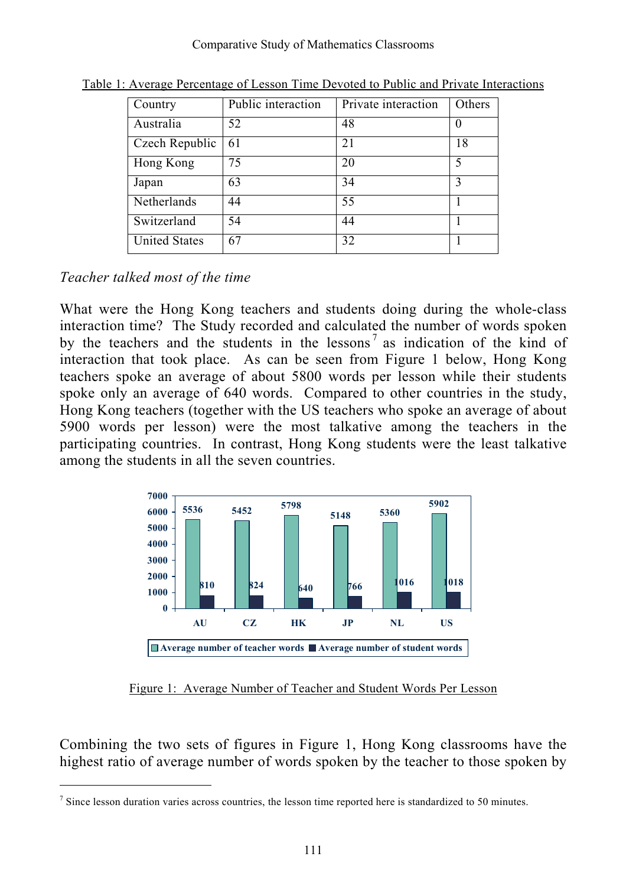#### Comparative Study of Mathematics Classrooms

| Country        | Public interaction | Private interaction | Others |
|----------------|--------------------|---------------------|--------|
| Australia      | 52                 | 48                  |        |
| Czech Republic | 61                 | 21                  | 18     |
| Hong Kong      | 75                 | 20                  | 5      |
| Japan          | 63                 | 34                  | 3      |
| Netherlands    | 44                 | 55                  |        |
| Switzerland    | 54                 | 44                  |        |
| United States  | 67                 | 32                  |        |

Table 1: Average Percentage of Lesson Time Devoted to Public and Private Interactions

# *Teacher talked most of the time*

 $\overline{a}$ 

What were the Hong Kong teachers and students doing during the whole-class interaction time? The Study recorded and calculated the number of words spoken by the teachers and the students in the lessons<sup>7</sup> as indication of the kind of interaction that took place. As can be seen from Figure 1 below, Hong Kong teachers spoke an average of about 5800 words per lesson while their students spoke only an average of 640 words. Compared to other countries in the study, Hong Kong teachers (together with the US teachers who spoke an average of about 5900 words per lesson) were the most talkative among the teachers in the participating countries. In contrast, Hong Kong students were the least talkative among the students in all the seven countries.



Figure 1: Average Number of Teacher and Student Words Per Lesson

Combining the two sets of figures in Figure 1, Hong Kong classrooms have the highest ratio of average number of words spoken by the teacher to those spoken by

 $<sup>7</sup>$  Since lesson duration varies across countries, the lesson time reported here is standardized to 50 minutes.</sup>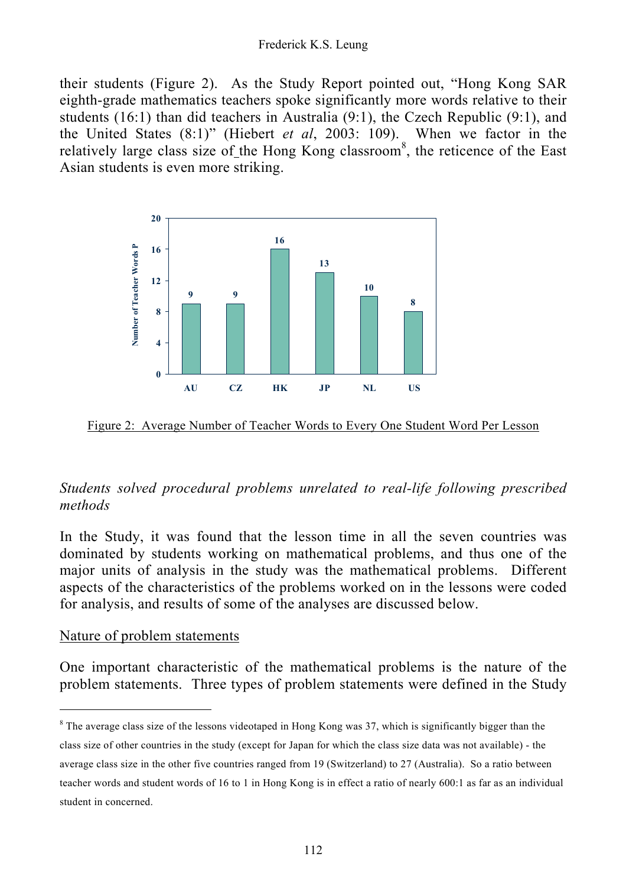their students (Figure 2). As the Study Report pointed out, "Hong Kong SAR eighth-grade mathematics teachers spoke significantly more words relative to their students (16:1) than did teachers in Australia (9:1), the Czech Republic (9:1), and the United States (8:1)" (Hiebert *et al*, 2003: 109). When we factor in the relatively large class size of the Hong Kong classroom<sup>8</sup>, the reticence of the East Asian students is even more striking.



Figure 2: Average Number of Teacher Words to Every One Student Word Per Lesson

#### *Students solved procedural problems unrelated to real-life following prescribed methods*

In the Study, it was found that the lesson time in all the seven countries was dominated by students working on mathematical problems, and thus one of the major units of analysis in the study was the mathematical problems. Different aspects of the characteristics of the problems worked on in the lessons were coded for analysis, and results of some of the analyses are discussed below.

#### Nature of problem statements

 $\overline{a}$ 

One important characteristic of the mathematical problems is the nature of the problem statements. Three types of problem statements were defined in the Study

 $8$  The average class size of the lessons videotaped in Hong Kong was 37, which is significantly bigger than the class size of other countries in the study (except for Japan for which the class size data was not available) - the average class size in the other five countries ranged from 19 (Switzerland) to 27 (Australia). So a ratio between teacher words and student words of 16 to 1 in Hong Kong is in effect a ratio of nearly 600:1 as far as an individual student in concerned.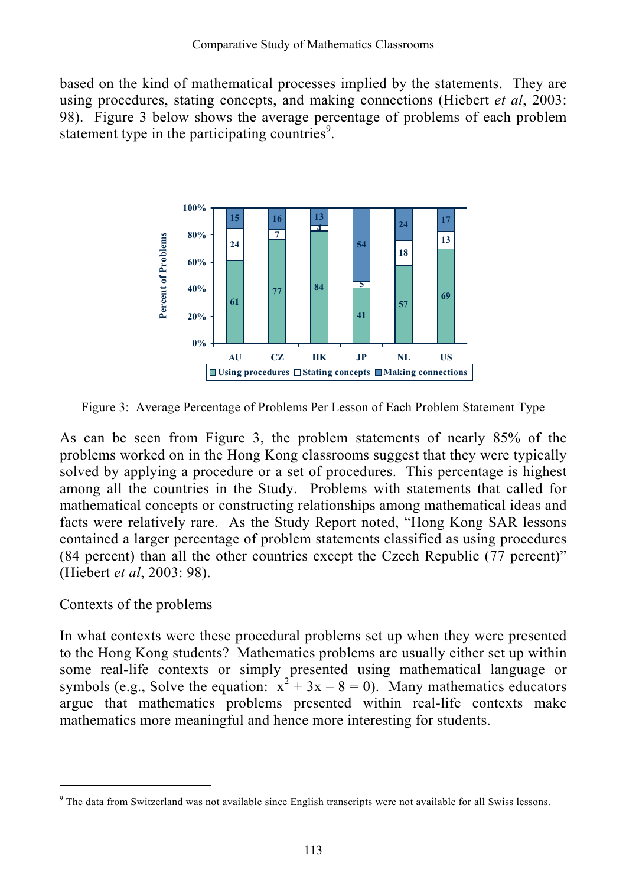based on the kind of mathematical processes implied by the statements. They are using procedures, stating concepts, and making connections (Hiebert *et al*, 2003: 98). Figure 3 below shows the average percentage of problems of each problem statement type in the participating countries<sup>9</sup>.



Figure 3: Average Percentage of Problems Per Lesson of Each Problem Statement Type

As can be seen from Figure 3, the problem statements of nearly 85% of the problems worked on in the Hong Kong classrooms suggest that they were typically solved by applying a procedure or a set of procedures. This percentage is highest among all the countries in the Study. Problems with statements that called for mathematical concepts or constructing relationships among mathematical ideas and facts were relatively rare. As the Study Report noted, "Hong Kong SAR lessons contained a larger percentage of problem statements classified as using procedures (84 percent) than all the other countries except the Czech Republic (77 percent)" (Hiebert *et al*, 2003: 98).

# Contexts of the problems

 $\overline{a}$ 

In what contexts were these procedural problems set up when they were presented to the Hong Kong students? Mathematics problems are usually either set up within some real-life contexts or simply presented using mathematical language or symbols (e.g., Solve the equation:  $x^2 + 3x - 8 = 0$ ). Many mathematics educators argue that mathematics problems presented within real-life contexts make mathematics more meaningful and hence more interesting for students.

<sup>&</sup>lt;sup>9</sup> The data from Switzerland was not available since English transcripts were not available for all Swiss lessons.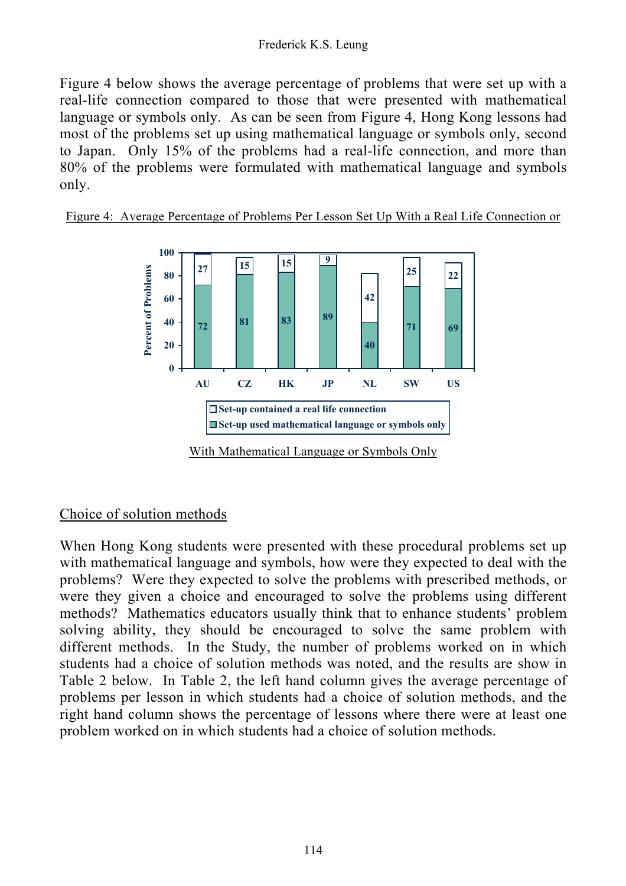Figure 4 below shows the average percentage of problems that were set up with a real-life connection compared to those that were presented with mathematical language or symbols only. As can be seen from Figure 4, Hong Kong lessons had most of the problems set up using mathematical language or symbols only, second to Japan. Only 15% of the problems had a real-life connection, and more than 80% of the problems were formulated with mathematical language and symbols only.





With Mathematical Language or Symbols Only

# Choice of solution methods

When Hong Kong students were presented with these procedural problems set up with mathematical language and symbols, how were they expected to deal with the problems? Were they expected to solve the problems with prescribed methods, or were they given a choice and encouraged to solve the problems using different methods? Mathematics educators usually think that to enhance students' problem solving ability, they should be encouraged to solve the same problem with different methods. In the Study, the number of problems worked on in which students had a choice of solution methods was noted, and the results are show in Table 2 below. In Table 2, the left hand column gives the average percentage of problems per lesson in which students had a choice of solution methods, and the right hand column shows the percentage of lessons where there were at least one problem worked on in which students had a choice of solution methods.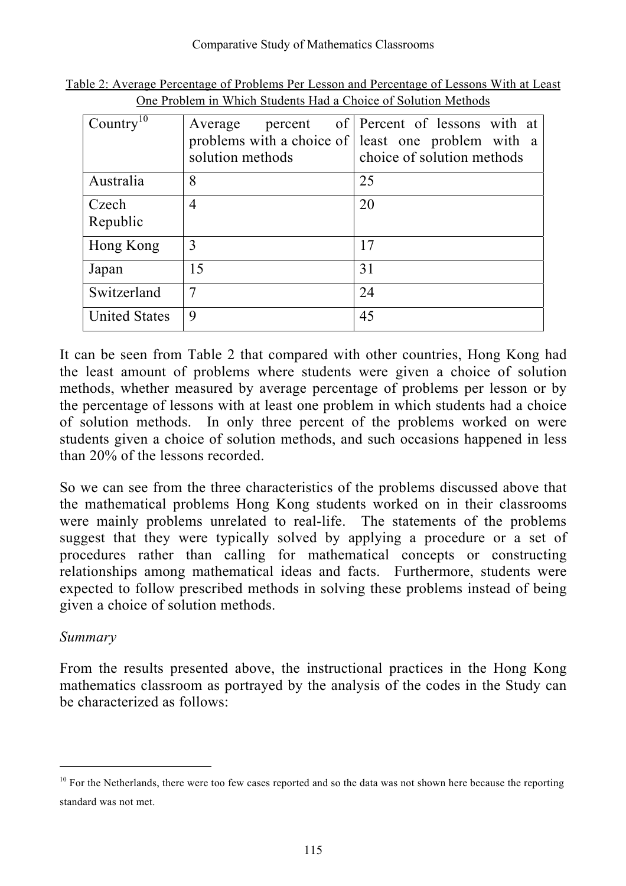|  | Table 2: Average Percentage of Problems Per Lesson and Percentage of Lessons With at Least |  |  |
|--|--------------------------------------------------------------------------------------------|--|--|
|  | One Problem in Which Students Had a Choice of Solution Methods                             |  |  |

| Country <sup>10</sup> | percent<br>Average<br>solution methods | of Percent of lessons with at<br>problems with a choice of least one problem with a<br>choice of solution methods |
|-----------------------|----------------------------------------|-------------------------------------------------------------------------------------------------------------------|
| Australia             | 8                                      | 25                                                                                                                |
| Czech<br>Republic     | $\overline{4}$                         | 20                                                                                                                |
| Hong Kong             | 3                                      | 17                                                                                                                |
| Japan                 | 15                                     | 31                                                                                                                |
| Switzerland           | 7                                      | 24                                                                                                                |
| <b>United States</b>  | 9                                      | 45                                                                                                                |

It can be seen from Table 2 that compared with other countries, Hong Kong had the least amount of problems where students were given a choice of solution methods, whether measured by average percentage of problems per lesson or by the percentage of lessons with at least one problem in which students had a choice of solution methods. In only three percent of the problems worked on were students given a choice of solution methods, and such occasions happened in less than 20% of the lessons recorded.

So we can see from the three characteristics of the problems discussed above that the mathematical problems Hong Kong students worked on in their classrooms were mainly problems unrelated to real-life. The statements of the problems suggest that they were typically solved by applying a procedure or a set of procedures rather than calling for mathematical concepts or constructing relationships among mathematical ideas and facts. Furthermore, students were expected to follow prescribed methods in solving these problems instead of being given a choice of solution methods.

#### *Summary*

 $\overline{a}$ 

From the results presented above, the instructional practices in the Hong Kong mathematics classroom as portrayed by the analysis of the codes in the Study can be characterized as follows:

<sup>&</sup>lt;sup>10</sup> For the Netherlands, there were too few cases reported and so the data was not shown here because the reporting standard was not met.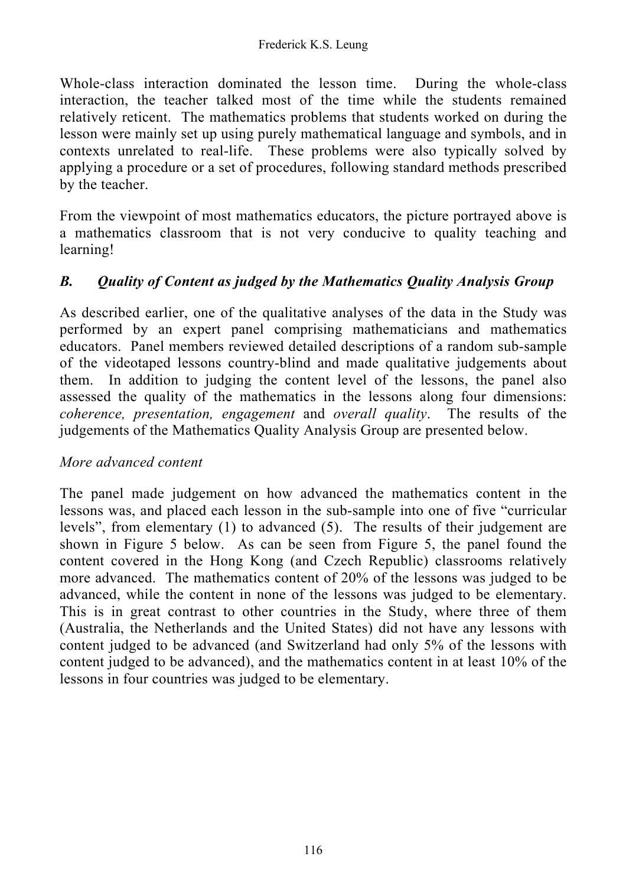Whole-class interaction dominated the lesson time. During the whole-class interaction, the teacher talked most of the time while the students remained relatively reticent. The mathematics problems that students worked on during the lesson were mainly set up using purely mathematical language and symbols, and in contexts unrelated to real-life. These problems were also typically solved by applying a procedure or a set of procedures, following standard methods prescribed by the teacher.

From the viewpoint of most mathematics educators, the picture portrayed above is a mathematics classroom that is not very conducive to quality teaching and learning!

# *B. Quality of Content as judged by the Mathematics Quality Analysis Group*

As described earlier, one of the qualitative analyses of the data in the Study was performed by an expert panel comprising mathematicians and mathematics educators. Panel members reviewed detailed descriptions of a random sub-sample of the videotaped lessons country-blind and made qualitative judgements about them. In addition to judging the content level of the lessons, the panel also assessed the quality of the mathematics in the lessons along four dimensions: *coherence, presentation, engagement* and *overall quality*. The results of the judgements of the Mathematics Quality Analysis Group are presented below.

#### *More advanced content*

The panel made judgement on how advanced the mathematics content in the lessons was, and placed each lesson in the sub-sample into one of five "curricular levels", from elementary (1) to advanced (5). The results of their judgement are shown in Figure 5 below. As can be seen from Figure 5, the panel found the content covered in the Hong Kong (and Czech Republic) classrooms relatively more advanced. The mathematics content of 20% of the lessons was judged to be advanced, while the content in none of the lessons was judged to be elementary. This is in great contrast to other countries in the Study, where three of them (Australia, the Netherlands and the United States) did not have any lessons with content judged to be advanced (and Switzerland had only 5% of the lessons with content judged to be advanced), and the mathematics content in at least 10% of the lessons in four countries was judged to be elementary.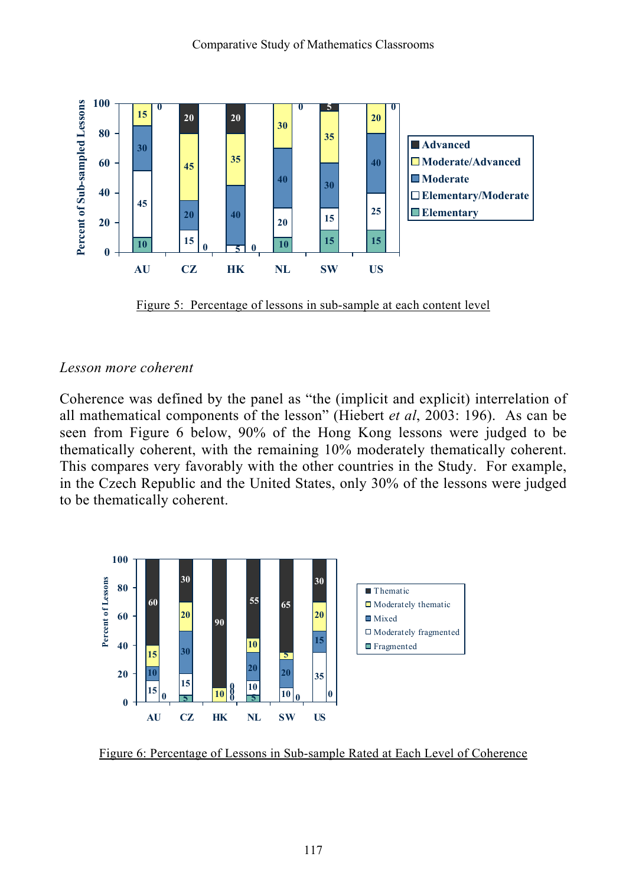

Figure 5: Percentage of lessons in sub-sample at each content level

#### *Lesson more coherent*

Coherence was defined by the panel as "the (implicit and explicit) interrelation of all mathematical components of the lesson" (Hiebert *et al*, 2003: 196). As can be seen from Figure 6 below, 90% of the Hong Kong lessons were judged to be thematically coherent, with the remaining 10% moderately thematically coherent. This compares very favorably with the other countries in the Study. For example, in the Czech Republic and the United States, only 30% of the lessons were judged to be thematically coherent.



Figure 6: Percentage of Lessons in Sub-sample Rated at Each Level of Coherence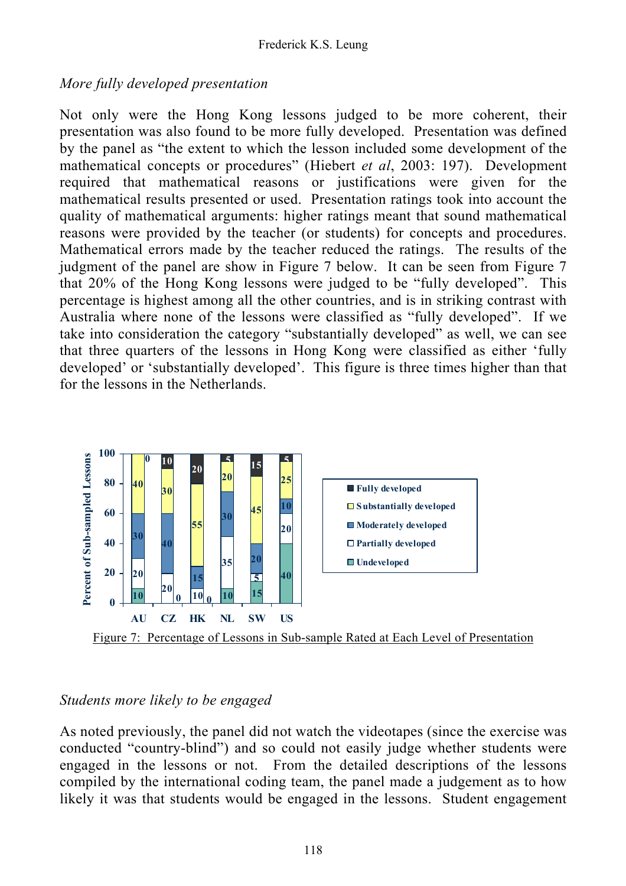# *More fully developed presentation*

Not only were the Hong Kong lessons judged to be more coherent, their presentation was also found to be more fully developed. Presentation was defined by the panel as "the extent to which the lesson included some development of the mathematical concepts or procedures" (Hiebert *et al*, 2003: 197). Development required that mathematical reasons or justifications were given for the mathematical results presented or used. Presentation ratings took into account the quality of mathematical arguments: higher ratings meant that sound mathematical reasons were provided by the teacher (or students) for concepts and procedures. Mathematical errors made by the teacher reduced the ratings. The results of the judgment of the panel are show in Figure 7 below. It can be seen from Figure 7 that 20% of the Hong Kong lessons were judged to be "fully developed". This percentage is highest among all the other countries, and is in striking contrast with Australia where none of the lessons were classified as "fully developed". If we take into consideration the category "substantially developed" as well, we can see that three quarters of the lessons in Hong Kong were classified as either 'fully developed' or 'substantially developed'. This figure is three times higher than that for the lessons in the Netherlands.



# *Students more likely to be engaged*

As noted previously, the panel did not watch the videotapes (since the exercise was conducted "country-blind") and so could not easily judge whether students were engaged in the lessons or not. From the detailed descriptions of the lessons compiled by the international coding team, the panel made a judgement as to how likely it was that students would be engaged in the lessons. Student engagement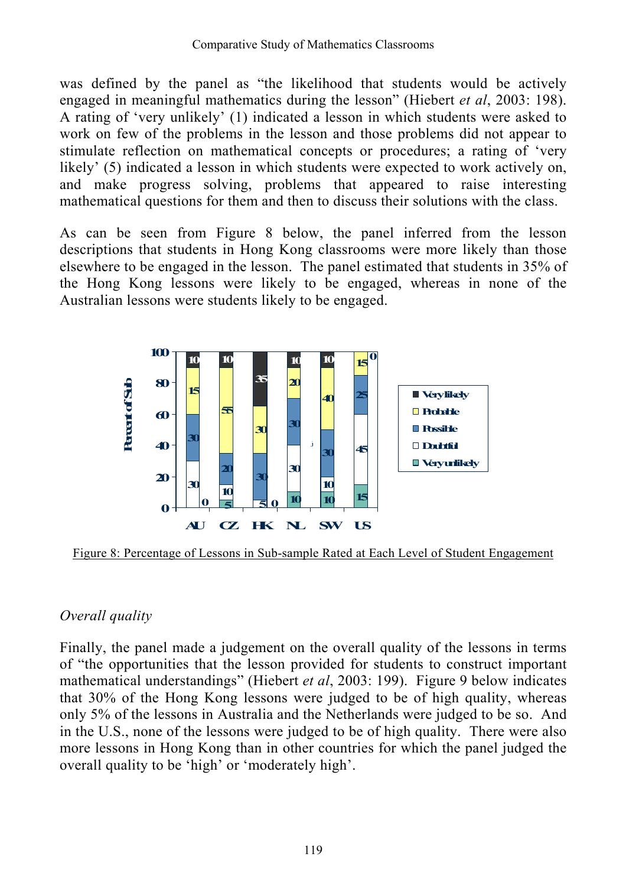was defined by the panel as "the likelihood that students would be actively engaged in meaningful mathematics during the lesson" (Hiebert *et al*, 2003: 198). A rating of 'very unlikely' (1) indicated a lesson in which students were asked to work on few of the problems in the lesson and those problems did not appear to stimulate reflection on mathematical concepts or procedures; a rating of 'very likely' (5) indicated a lesson in which students were expected to work actively on, and make progress solving, problems that appeared to raise interesting mathematical questions for them and then to discuss their solutions with the class.

As can be seen from Figure 8 below, the panel inferred from the lesson descriptions that students in Hong Kong classrooms were more likely than those elsewhere to be engaged in the lesson. The panel estimated that students in 35% of the Hong Kong lessons were likely to be engaged, whereas in none of the Australian lessons were students likely to be engaged.



Figure 8: Percentage of Lessons in Sub-sample Rated at Each Level of Student Engagement

# *Overall quality*

Finally, the panel made a judgement on the overall quality of the lessons in terms of "the opportunities that the lesson provided for students to construct important mathematical understandings" (Hiebert *et al*, 2003: 199). Figure 9 below indicates that 30% of the Hong Kong lessons were judged to be of high quality, whereas only 5% of the lessons in Australia and the Netherlands were judged to be so. And in the U.S., none of the lessons were judged to be of high quality. There were also more lessons in Hong Kong than in other countries for which the panel judged the overall quality to be 'high' or 'moderately high'.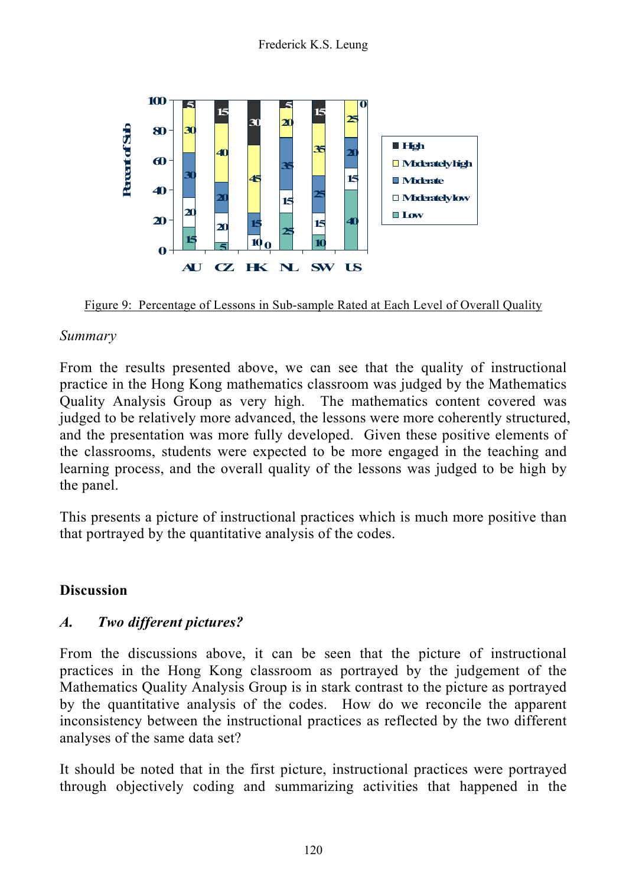

Figure 9: Percentage of Lessons in Sub-sample Rated at Each Level of Overall Quality

# *Summary*

From the results presented above, we can see that the quality of instructional practice in the Hong Kong mathematics classroom was judged by the Mathematics Quality Analysis Group as very high. The mathematics content covered was judged to be relatively more advanced, the lessons were more coherently structured, and the presentation was more fully developed. Given these positive elements of the classrooms, students were expected to be more engaged in the teaching and learning process, and the overall quality of the lessons was judged to be high by the panel.

This presents a picture of instructional practices which is much more positive than that portrayed by the quantitative analysis of the codes.

# **Discussion**

# *A. Two different pictures?*

From the discussions above, it can be seen that the picture of instructional practices in the Hong Kong classroom as portrayed by the judgement of the Mathematics Quality Analysis Group is in stark contrast to the picture as portrayed by the quantitative analysis of the codes. How do we reconcile the apparent inconsistency between the instructional practices as reflected by the two different analyses of the same data set?

It should be noted that in the first picture, instructional practices were portrayed through objectively coding and summarizing activities that happened in the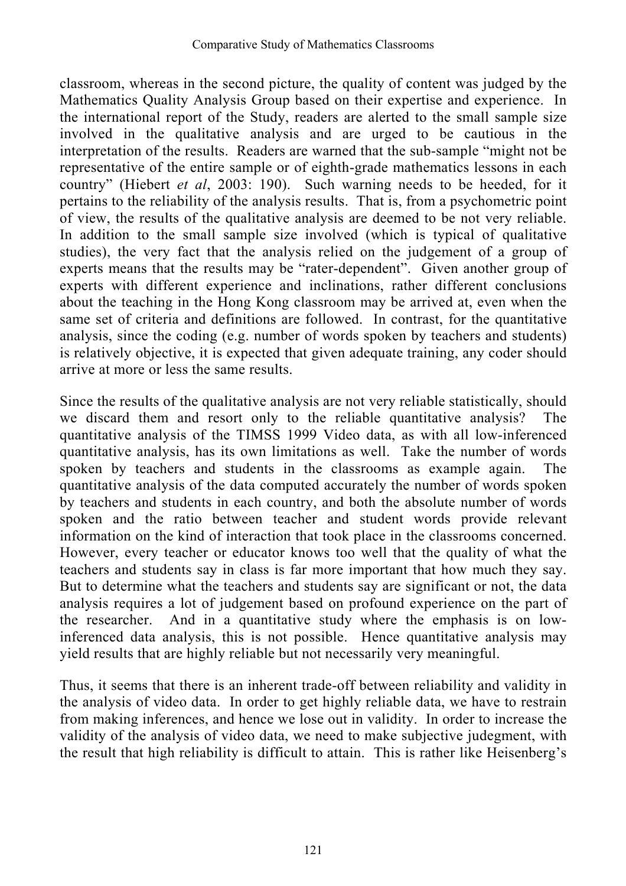classroom, whereas in the second picture, the quality of content was judged by the Mathematics Quality Analysis Group based on their expertise and experience. In the international report of the Study, readers are alerted to the small sample size involved in the qualitative analysis and are urged to be cautious in the interpretation of the results. Readers are warned that the sub-sample "might not be representative of the entire sample or of eighth-grade mathematics lessons in each country" (Hiebert *et al*, 2003: 190). Such warning needs to be heeded, for it pertains to the reliability of the analysis results. That is, from a psychometric point of view, the results of the qualitative analysis are deemed to be not very reliable. In addition to the small sample size involved (which is typical of qualitative studies), the very fact that the analysis relied on the judgement of a group of experts means that the results may be "rater-dependent". Given another group of experts with different experience and inclinations, rather different conclusions about the teaching in the Hong Kong classroom may be arrived at, even when the same set of criteria and definitions are followed. In contrast, for the quantitative analysis, since the coding (e.g. number of words spoken by teachers and students) is relatively objective, it is expected that given adequate training, any coder should arrive at more or less the same results.

Since the results of the qualitative analysis are not very reliable statistically, should we discard them and resort only to the reliable quantitative analysis? The quantitative analysis of the TIMSS 1999 Video data, as with all low-inferenced quantitative analysis, has its own limitations as well. Take the number of words spoken by teachers and students in the classrooms as example again. The quantitative analysis of the data computed accurately the number of words spoken by teachers and students in each country, and both the absolute number of words spoken and the ratio between teacher and student words provide relevant information on the kind of interaction that took place in the classrooms concerned. However, every teacher or educator knows too well that the quality of what the teachers and students say in class is far more important that how much they say. But to determine what the teachers and students say are significant or not, the data analysis requires a lot of judgement based on profound experience on the part of the researcher. And in a quantitative study where the emphasis is on lowinferenced data analysis, this is not possible. Hence quantitative analysis may yield results that are highly reliable but not necessarily very meaningful.

Thus, it seems that there is an inherent trade-off between reliability and validity in the analysis of video data. In order to get highly reliable data, we have to restrain from making inferences, and hence we lose out in validity. In order to increase the validity of the analysis of video data, we need to make subjective judegment, with the result that high reliability is difficult to attain. This is rather like Heisenberg's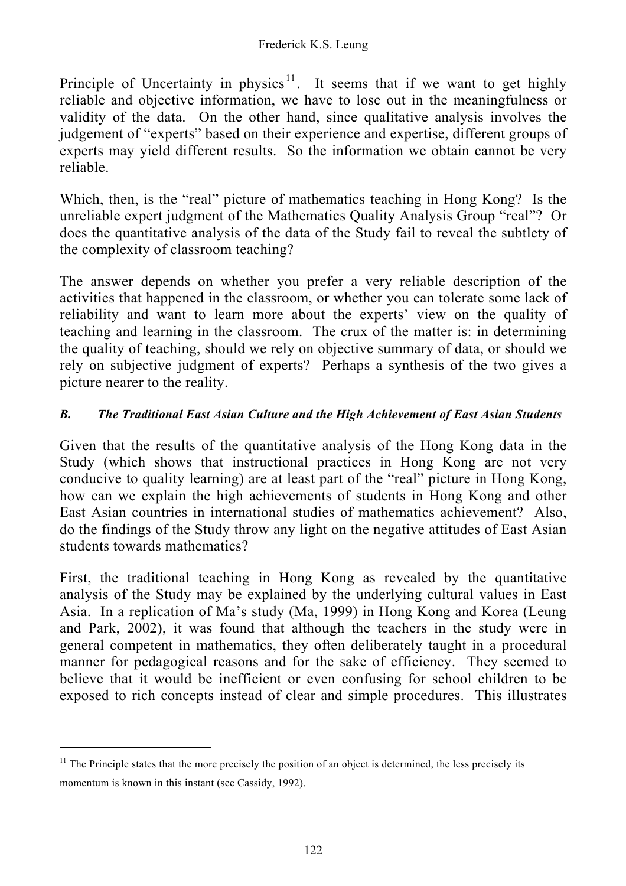Principle of Uncertainty in physics<sup>11</sup>. It seems that if we want to get highly reliable and objective information, we have to lose out in the meaningfulness or validity of the data. On the other hand, since qualitative analysis involves the judgement of "experts" based on their experience and expertise, different groups of experts may yield different results. So the information we obtain cannot be very reliable.

Which, then, is the "real" picture of mathematics teaching in Hong Kong? Is the unreliable expert judgment of the Mathematics Quality Analysis Group "real"? Or does the quantitative analysis of the data of the Study fail to reveal the subtlety of the complexity of classroom teaching?

The answer depends on whether you prefer a very reliable description of the activities that happened in the classroom, or whether you can tolerate some lack of reliability and want to learn more about the experts' view on the quality of teaching and learning in the classroom. The crux of the matter is: in determining the quality of teaching, should we rely on objective summary of data, or should we rely on subjective judgment of experts? Perhaps a synthesis of the two gives a picture nearer to the reality.

#### *B. The Traditional East Asian Culture and the High Achievement of East Asian Students*

Given that the results of the quantitative analysis of the Hong Kong data in the Study (which shows that instructional practices in Hong Kong are not very conducive to quality learning) are at least part of the "real" picture in Hong Kong, how can we explain the high achievements of students in Hong Kong and other East Asian countries in international studies of mathematics achievement? Also, do the findings of the Study throw any light on the negative attitudes of East Asian students towards mathematics?

First, the traditional teaching in Hong Kong as revealed by the quantitative analysis of the Study may be explained by the underlying cultural values in East Asia. In a replication of Ma's study (Ma, 1999) in Hong Kong and Korea (Leung and Park, 2002), it was found that although the teachers in the study were in general competent in mathematics, they often deliberately taught in a procedural manner for pedagogical reasons and for the sake of efficiency. They seemed to believe that it would be inefficient or even confusing for school children to be exposed to rich concepts instead of clear and simple procedures. This illustrates

 $\overline{a}$ 

 $11$  The Principle states that the more precisely the position of an object is determined, the less precisely its momentum is known in this instant (see Cassidy, 1992).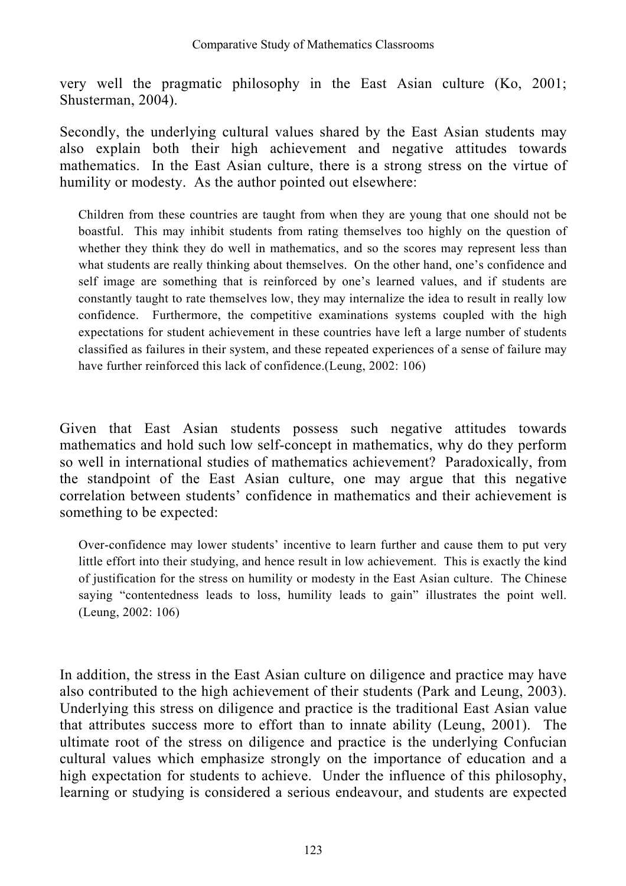very well the pragmatic philosophy in the East Asian culture (Ko, 2001; Shusterman, 2004).

Secondly, the underlying cultural values shared by the East Asian students may also explain both their high achievement and negative attitudes towards mathematics. In the East Asian culture, there is a strong stress on the virtue of humility or modesty. As the author pointed out elsewhere:

Children from these countries are taught from when they are young that one should not be boastful. This may inhibit students from rating themselves too highly on the question of whether they think they do well in mathematics, and so the scores may represent less than what students are really thinking about themselves. On the other hand, one's confidence and self image are something that is reinforced by one's learned values, and if students are constantly taught to rate themselves low, they may internalize the idea to result in really low confidence. Furthermore, the competitive examinations systems coupled with the high expectations for student achievement in these countries have left a large number of students classified as failures in their system, and these repeated experiences of a sense of failure may have further reinforced this lack of confidence.(Leung, 2002: 106)

Given that East Asian students possess such negative attitudes towards mathematics and hold such low self-concept in mathematics, why do they perform so well in international studies of mathematics achievement? Paradoxically, from the standpoint of the East Asian culture, one may argue that this negative correlation between students' confidence in mathematics and their achievement is something to be expected:

Over-confidence may lower students' incentive to learn further and cause them to put very little effort into their studying, and hence result in low achievement. This is exactly the kind of justification for the stress on humility or modesty in the East Asian culture. The Chinese saying "contentedness leads to loss, humility leads to gain" illustrates the point well. (Leung, 2002: 106)

In addition, the stress in the East Asian culture on diligence and practice may have also contributed to the high achievement of their students (Park and Leung, 2003). Underlying this stress on diligence and practice is the traditional East Asian value that attributes success more to effort than to innate ability (Leung, 2001). The ultimate root of the stress on diligence and practice is the underlying Confucian cultural values which emphasize strongly on the importance of education and a high expectation for students to achieve. Under the influence of this philosophy, learning or studying is considered a serious endeavour, and students are expected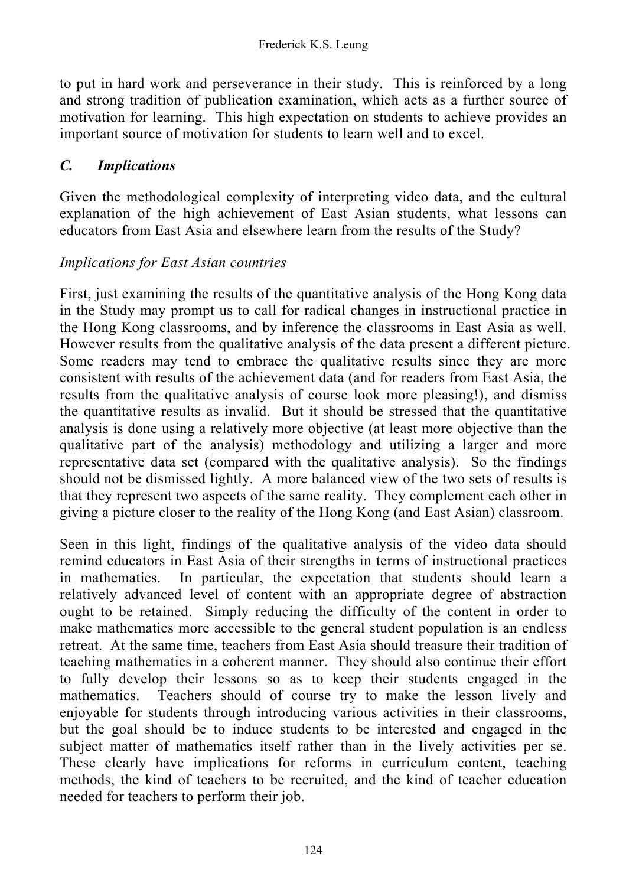to put in hard work and perseverance in their study. This is reinforced by a long and strong tradition of publication examination, which acts as a further source of motivation for learning. This high expectation on students to achieve provides an important source of motivation for students to learn well and to excel.

#### *C. Implications*

Given the methodological complexity of interpreting video data, and the cultural explanation of the high achievement of East Asian students, what lessons can educators from East Asia and elsewhere learn from the results of the Study?

#### *Implications for East Asian countries*

First, just examining the results of the quantitative analysis of the Hong Kong data in the Study may prompt us to call for radical changes in instructional practice in the Hong Kong classrooms, and by inference the classrooms in East Asia as well. However results from the qualitative analysis of the data present a different picture. Some readers may tend to embrace the qualitative results since they are more consistent with results of the achievement data (and for readers from East Asia, the results from the qualitative analysis of course look more pleasing!), and dismiss the quantitative results as invalid. But it should be stressed that the quantitative analysis is done using a relatively more objective (at least more objective than the qualitative part of the analysis) methodology and utilizing a larger and more representative data set (compared with the qualitative analysis). So the findings should not be dismissed lightly. A more balanced view of the two sets of results is that they represent two aspects of the same reality. They complement each other in giving a picture closer to the reality of the Hong Kong (and East Asian) classroom.

Seen in this light, findings of the qualitative analysis of the video data should remind educators in East Asia of their strengths in terms of instructional practices in mathematics. In particular, the expectation that students should learn a relatively advanced level of content with an appropriate degree of abstraction ought to be retained. Simply reducing the difficulty of the content in order to make mathematics more accessible to the general student population is an endless retreat. At the same time, teachers from East Asia should treasure their tradition of teaching mathematics in a coherent manner. They should also continue their effort to fully develop their lessons so as to keep their students engaged in the mathematics. Teachers should of course try to make the lesson lively and enjoyable for students through introducing various activities in their classrooms, but the goal should be to induce students to be interested and engaged in the subject matter of mathematics itself rather than in the lively activities per se. These clearly have implications for reforms in curriculum content, teaching methods, the kind of teachers to be recruited, and the kind of teacher education needed for teachers to perform their job.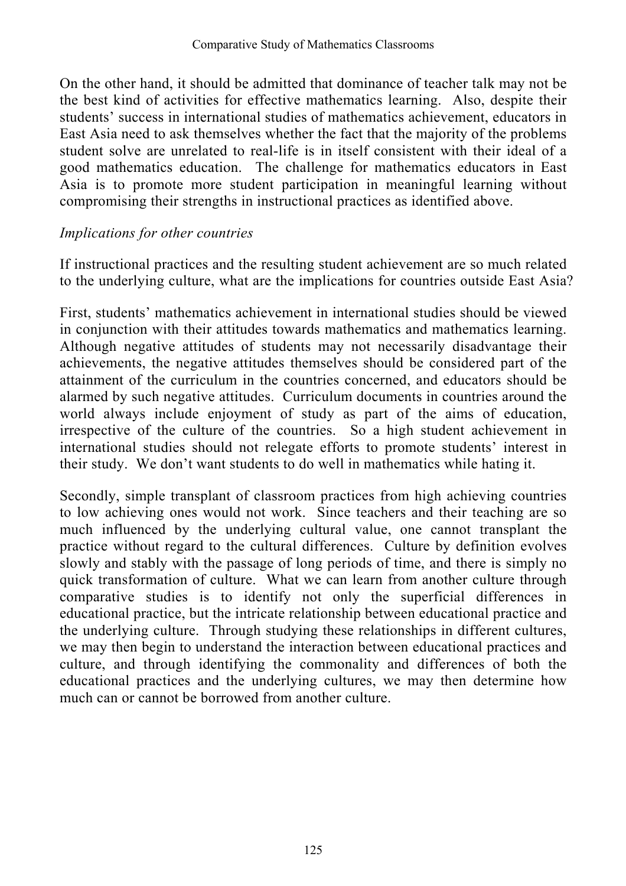On the other hand, it should be admitted that dominance of teacher talk may not be the best kind of activities for effective mathematics learning. Also, despite their students' success in international studies of mathematics achievement, educators in East Asia need to ask themselves whether the fact that the majority of the problems student solve are unrelated to real-life is in itself consistent with their ideal of a good mathematics education. The challenge for mathematics educators in East Asia is to promote more student participation in meaningful learning without compromising their strengths in instructional practices as identified above.

#### *Implications for other countries*

If instructional practices and the resulting student achievement are so much related to the underlying culture, what are the implications for countries outside East Asia?

First, students' mathematics achievement in international studies should be viewed in conjunction with their attitudes towards mathematics and mathematics learning. Although negative attitudes of students may not necessarily disadvantage their achievements, the negative attitudes themselves should be considered part of the attainment of the curriculum in the countries concerned, and educators should be alarmed by such negative attitudes. Curriculum documents in countries around the world always include enjoyment of study as part of the aims of education, irrespective of the culture of the countries. So a high student achievement in international studies should not relegate efforts to promote students' interest in their study. We don't want students to do well in mathematics while hating it.

Secondly, simple transplant of classroom practices from high achieving countries to low achieving ones would not work. Since teachers and their teaching are so much influenced by the underlying cultural value, one cannot transplant the practice without regard to the cultural differences. Culture by definition evolves slowly and stably with the passage of long periods of time, and there is simply no quick transformation of culture. What we can learn from another culture through comparative studies is to identify not only the superficial differences in educational practice, but the intricate relationship between educational practice and the underlying culture. Through studying these relationships in different cultures, we may then begin to understand the interaction between educational practices and culture, and through identifying the commonality and differences of both the educational practices and the underlying cultures, we may then determine how much can or cannot be borrowed from another culture.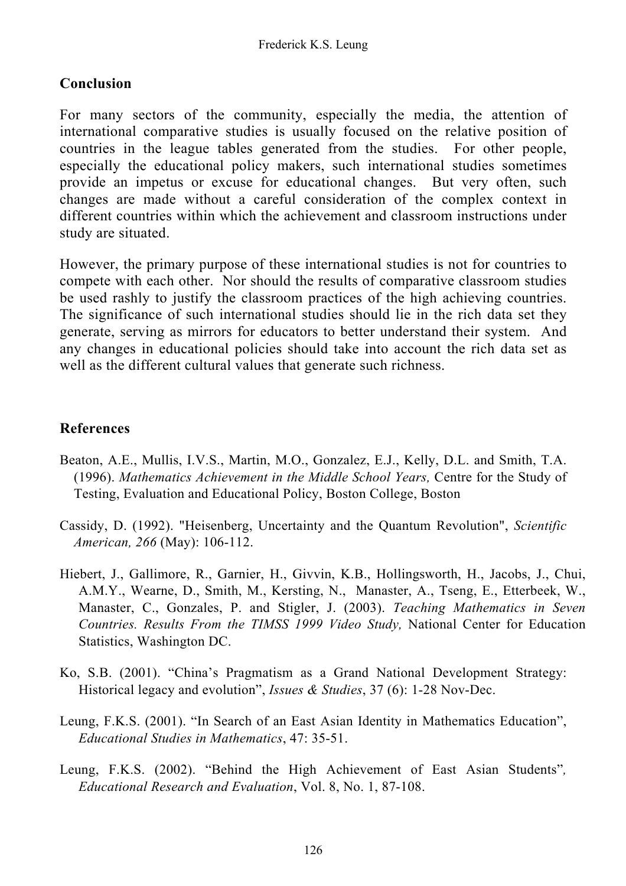# **Conclusion**

For many sectors of the community, especially the media, the attention of international comparative studies is usually focused on the relative position of countries in the league tables generated from the studies. For other people, especially the educational policy makers, such international studies sometimes provide an impetus or excuse for educational changes. But very often, such changes are made without a careful consideration of the complex context in different countries within which the achievement and classroom instructions under study are situated.

However, the primary purpose of these international studies is not for countries to compete with each other. Nor should the results of comparative classroom studies be used rashly to justify the classroom practices of the high achieving countries. The significance of such international studies should lie in the rich data set they generate, serving as mirrors for educators to better understand their system. And any changes in educational policies should take into account the rich data set as well as the different cultural values that generate such richness.

# **References**

- Beaton, A.E., Mullis, I.V.S., Martin, M.O., Gonzalez, E.J., Kelly, D.L. and Smith, T.A. (1996). *Mathematics Achievement in the Middle School Years,* Centre for the Study of Testing, Evaluation and Educational Policy, Boston College, Boston
- Cassidy, D. (1992). "Heisenberg, Uncertainty and the Quantum Revolution", *Scientific American, 266* (May): 106-112.
- Hiebert, J., Gallimore, R., Garnier, H., Givvin, K.B., Hollingsworth, H., Jacobs, J., Chui, A.M.Y., Wearne, D., Smith, M., Kersting, N., Manaster, A., Tseng, E., Etterbeek, W., Manaster, C., Gonzales, P. and Stigler, J. (2003). *Teaching Mathematics in Seven Countries. Results From the TIMSS 1999 Video Study,* National Center for Education Statistics, Washington DC.
- Ko, S.B. (2001). "China's Pragmatism as a Grand National Development Strategy: Historical legacy and evolution", *Issues & Studies*, 37 (6): 1-28 Nov-Dec.
- Leung, F.K.S. (2001). "In Search of an East Asian Identity in Mathematics Education", *Educational Studies in Mathematics*, 47: 35-51.
- Leung, F.K.S. (2002). "Behind the High Achievement of East Asian Students"*, Educational Research and Evaluation*, Vol. 8, No. 1, 87-108.